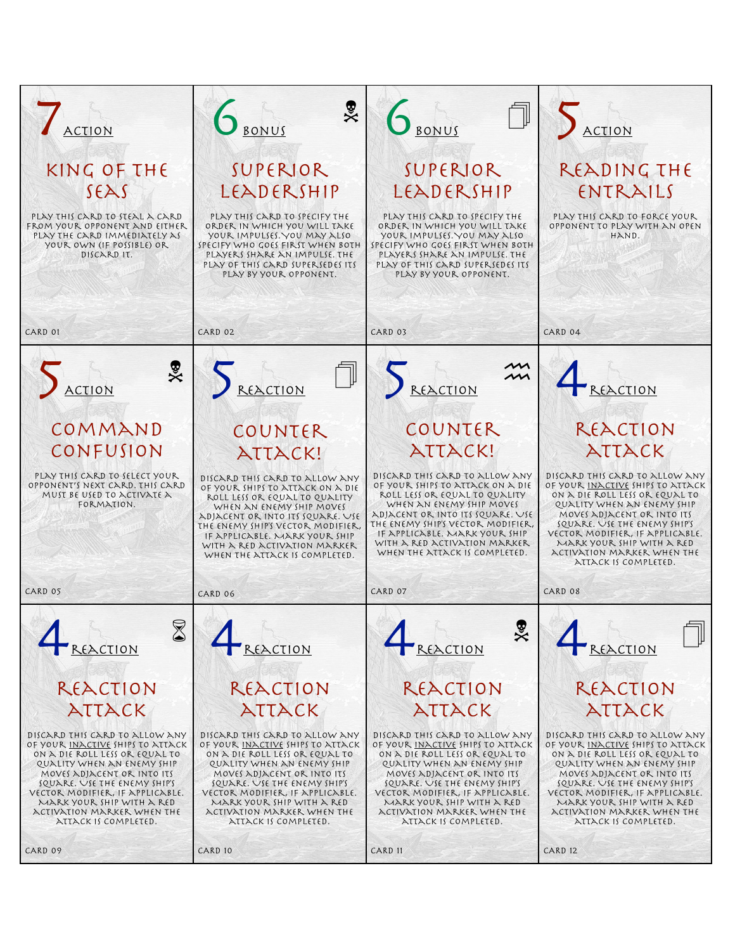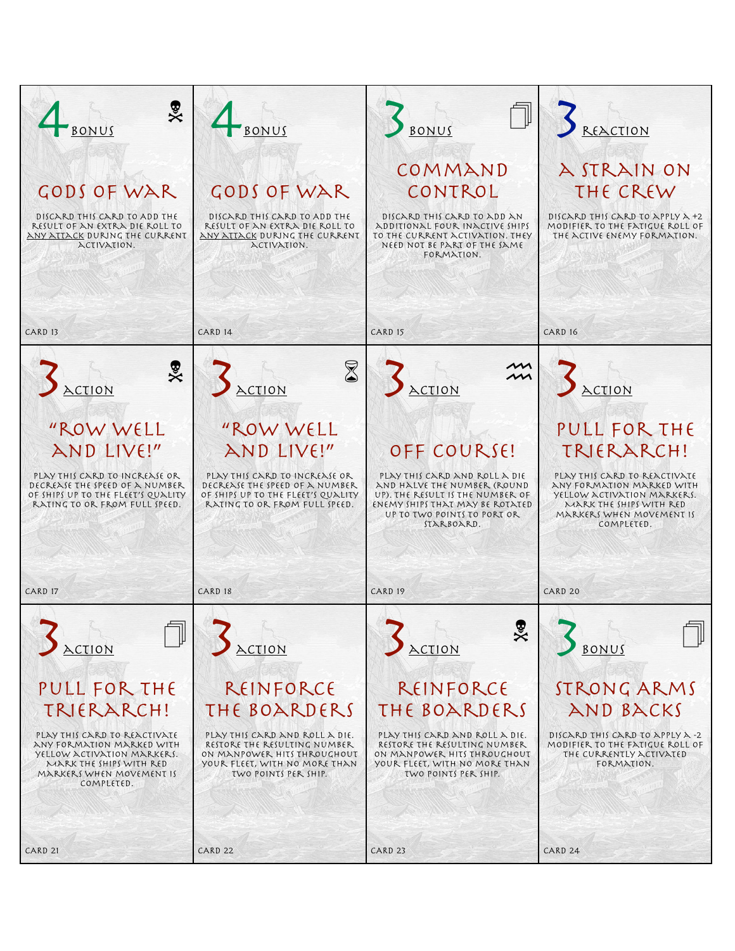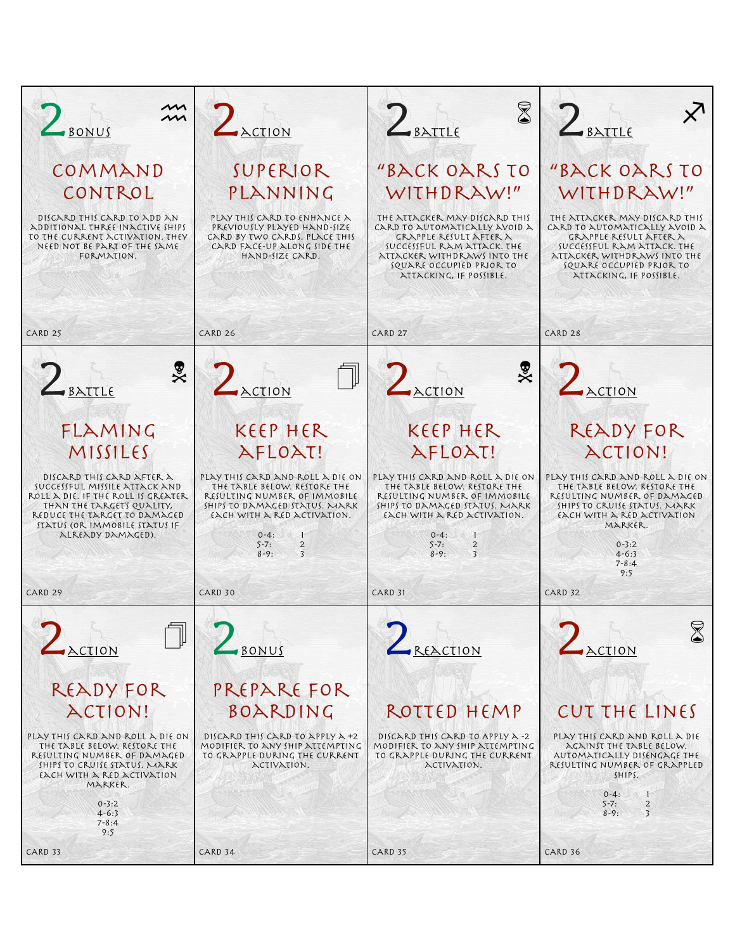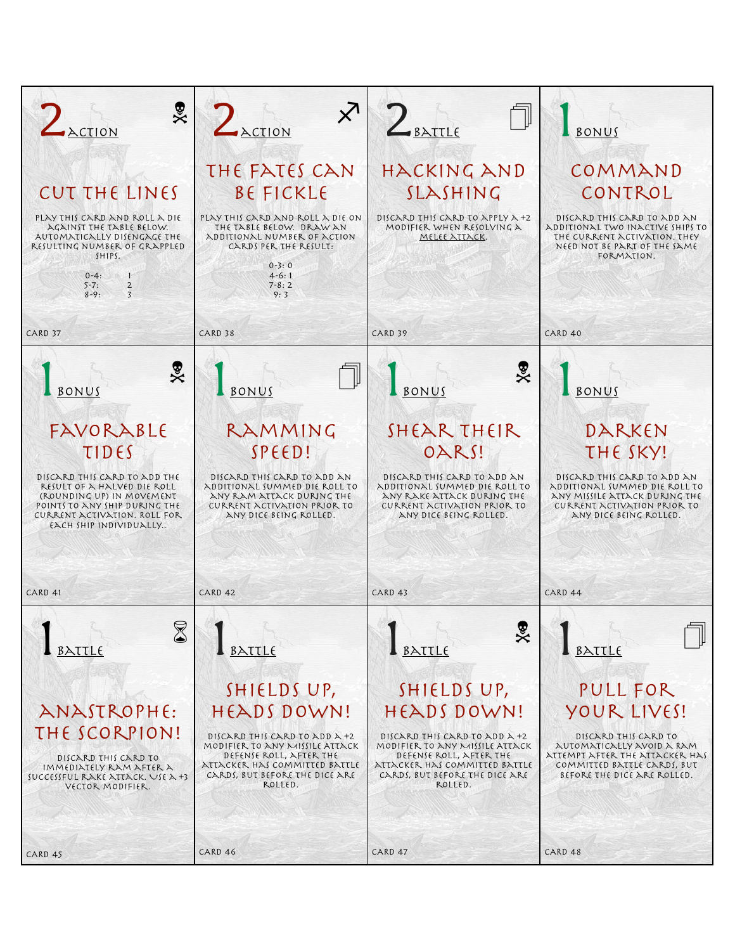